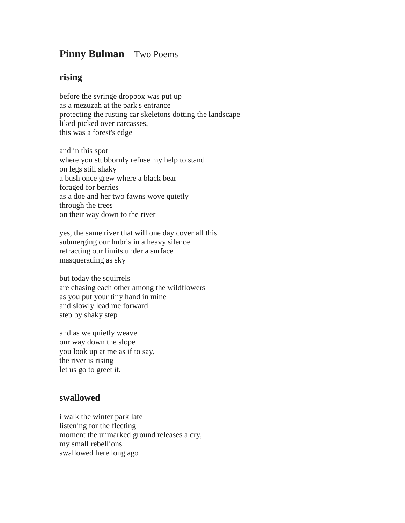## **Pinny Bulman** – Two Poems

## **rising**

before the syringe dropbox was put up as a mezuzah at the park's entrance protecting the rusting car skeletons dotting the landscape liked picked over carcasses, this was a forest's edge

and in this spot where you stubbornly refuse my help to stand on legs still shaky a bush once grew where a black bear foraged for berries as a doe and her two fawns wove quietly through the trees on their way down to the river

yes, the same river that will one day cover all this submerging our hubris in a heavy silence refracting our limits under a surface masquerading as sky

but today the squirrels are chasing each other among the wildflowers as you put your tiny hand in mine and slowly lead me forward step by shaky step

and as we quietly weave our way down the slope you look up at me as if to say, the river is rising let us go to greet it.

## **swallowed**

i walk the winter park late listening for the fleeting moment the unmarked ground releases a cry, my small rebellions swallowed here long ago